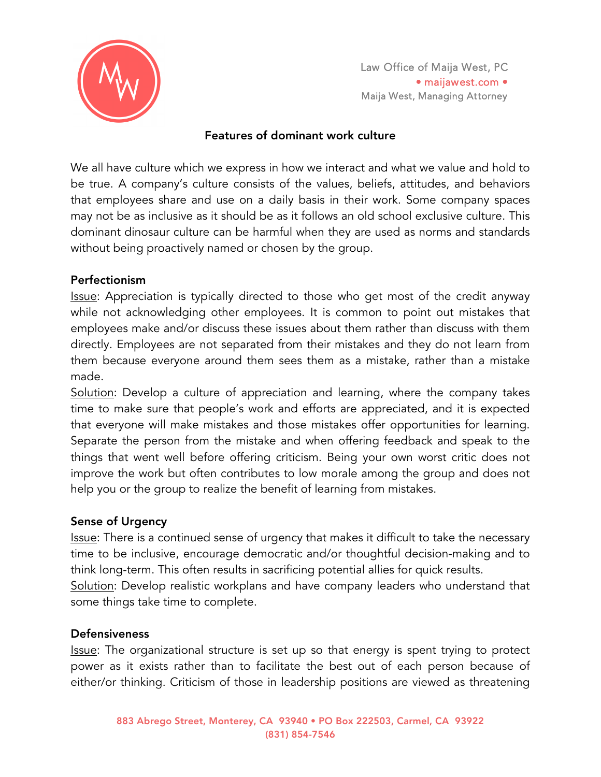

Law Office of Maija West, PC • maijawest.com • Maija West, Managing Attorney

#### Features of dominant work culture

We all have culture which we express in how we interact and what we value and hold to be true. A company's culture consists of the values, beliefs, attitudes, and behaviors that employees share and use on a daily basis in their work. Some company spaces may not be as inclusive as it should be as it follows an old school exclusive culture. This dominant dinosaur culture can be harmful when they are used as norms and standards without being proactively named or chosen by the group.

#### Perfectionism

Issue: Appreciation is typically directed to those who get most of the credit anyway while not acknowledging other employees. It is common to point out mistakes that employees make and/or discuss these issues about them rather than discuss with them directly. Employees are not separated from their mistakes and they do not learn from them because everyone around them sees them as a mistake, rather than a mistake made.

Solution: Develop a culture of appreciation and learning, where the company takes time to make sure that people's work and efforts are appreciated, and it is expected that everyone will make mistakes and those mistakes offer opportunities for learning. Separate the person from the mistake and when offering feedback and speak to the things that went well before offering criticism. Being your own worst critic does not improve the work but often contributes to low morale among the group and does not help you or the group to realize the benefit of learning from mistakes.

## Sense of Urgency

Issue: There is a continued sense of urgency that makes it difficult to take the necessary time to be inclusive, encourage democratic and/or thoughtful decision-making and to think long-term. This often results in sacrificing potential allies for quick results. Solution: Develop realistic workplans and have company leaders who understand that some things take time to complete.

#### **Defensiveness**

Issue: The organizational structure is set up so that energy is spent trying to protect power as it exists rather than to facilitate the best out of each person because of either/or thinking. Criticism of those in leadership positions are viewed as threatening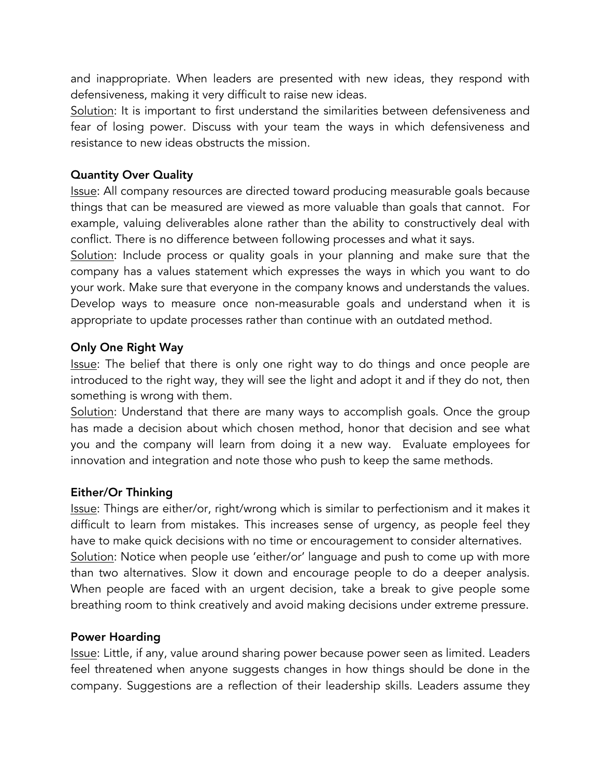and inappropriate. When leaders are presented with new ideas, they respond with defensiveness, making it very difficult to raise new ideas.

Solution: It is important to first understand the similarities between defensiveness and fear of losing power. Discuss with your team the ways in which defensiveness and resistance to new ideas obstructs the mission.

## Quantity Over Quality

Issue: All company resources are directed toward producing measurable goals because things that can be measured are viewed as more valuable than goals that cannot. For example, valuing deliverables alone rather than the ability to constructively deal with conflict. There is no difference between following processes and what it says.

Solution: Include process or quality goals in your planning and make sure that the company has a values statement which expresses the ways in which you want to do your work. Make sure that everyone in the company knows and understands the values. Develop ways to measure once non-measurable goals and understand when it is appropriate to update processes rather than continue with an outdated method.

## Only One Right Way

Issue: The belief that there is only one right way to do things and once people are introduced to the right way, they will see the light and adopt it and if they do not, then something is wrong with them.

Solution: Understand that there are many ways to accomplish goals. Once the group has made a decision about which chosen method, honor that decision and see what you and the company will learn from doing it a new way. Evaluate employees for innovation and integration and note those who push to keep the same methods.

## Either/Or Thinking

Issue: Things are either/or, right/wrong which is similar to perfectionism and it makes it difficult to learn from mistakes. This increases sense of urgency, as people feel they have to make quick decisions with no time or encouragement to consider alternatives. Solution: Notice when people use 'either/or' language and push to come up with more than two alternatives. Slow it down and encourage people to do a deeper analysis. When people are faced with an urgent decision, take a break to give people some breathing room to think creatively and avoid making decisions under extreme pressure.

## Power Hoarding

Issue: Little, if any, value around sharing power because power seen as limited. Leaders feel threatened when anyone suggests changes in how things should be done in the company. Suggestions are a reflection of their leadership skills. Leaders assume they